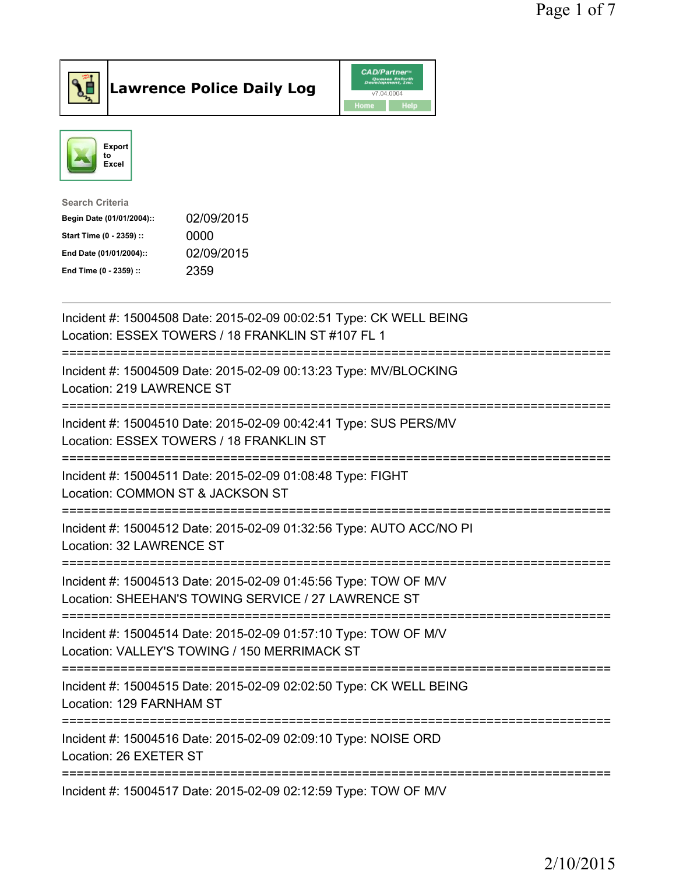

Lawrence Police Daily Log CAD/Partners



| <b>Search Criteria</b>    |            |
|---------------------------|------------|
| Begin Date (01/01/2004):: | 02/09/2015 |
| Start Time (0 - 2359) ::  | 0000       |
| End Date (01/01/2004)::   | 02/09/2015 |
| End Time (0 - 2359) ::    | 2359       |
|                           |            |

| Incident #: 15004508 Date: 2015-02-09 00:02:51 Type: CK WELL BEING<br>Location: ESSEX TOWERS / 18 FRANKLIN ST #107 FL 1                               |
|-------------------------------------------------------------------------------------------------------------------------------------------------------|
| Incident #: 15004509 Date: 2015-02-09 00:13:23 Type: MV/BLOCKING<br>Location: 219 LAWRENCE ST<br>==================                                   |
| Incident #: 15004510 Date: 2015-02-09 00:42:41 Type: SUS PERS/MV<br>Location: ESSEX TOWERS / 18 FRANKLIN ST                                           |
| Incident #: 15004511 Date: 2015-02-09 01:08:48 Type: FIGHT<br>Location: COMMON ST & JACKSON ST<br>======================                              |
| Incident #: 15004512 Date: 2015-02-09 01:32:56 Type: AUTO ACC/NO PI<br>Location: 32 LAWRENCE ST                                                       |
| Incident #: 15004513 Date: 2015-02-09 01:45:56 Type: TOW OF M/V<br>Location: SHEEHAN'S TOWING SERVICE / 27 LAWRENCE ST                                |
| Incident #: 15004514 Date: 2015-02-09 01:57:10 Type: TOW OF M/V<br>Location: VALLEY'S TOWING / 150 MERRIMACK ST<br>================================== |
| Incident #: 15004515 Date: 2015-02-09 02:02:50 Type: CK WELL BEING<br>Location: 129 FARNHAM ST                                                        |
| Incident #: 15004516 Date: 2015-02-09 02:09:10 Type: NOISE ORD<br>Location: 26 EXETER ST                                                              |
| Incident #: 15004517 Date: 2015-02-09 02:12:59 Type: TOW OF M/V                                                                                       |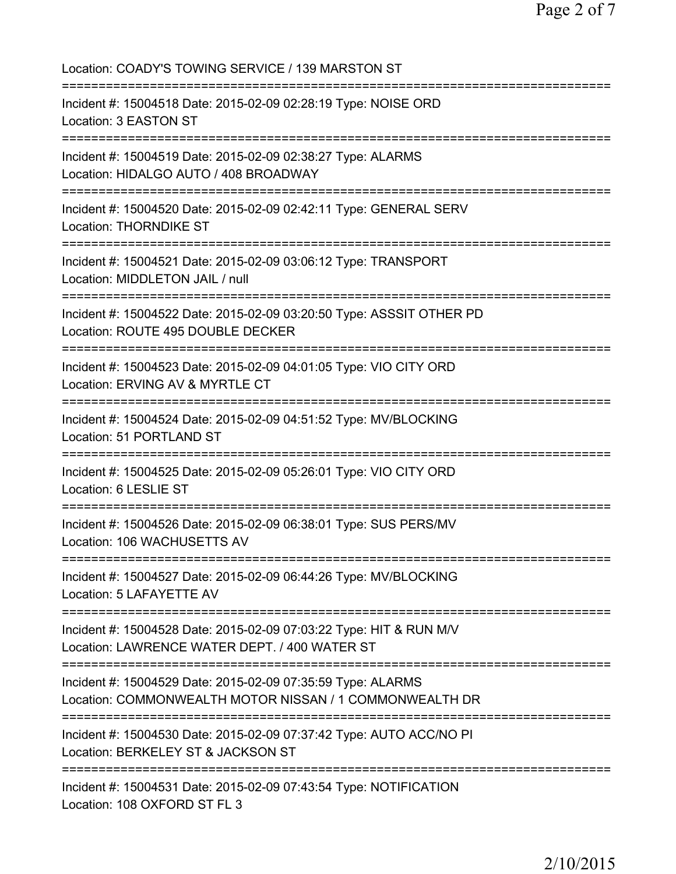| Location: COADY'S TOWING SERVICE / 139 MARSTON ST                                                                                                  |
|----------------------------------------------------------------------------------------------------------------------------------------------------|
| Incident #: 15004518 Date: 2015-02-09 02:28:19 Type: NOISE ORD<br>Location: 3 EASTON ST                                                            |
| Incident #: 15004519 Date: 2015-02-09 02:38:27 Type: ALARMS<br>Location: HIDALGO AUTO / 408 BROADWAY                                               |
| Incident #: 15004520 Date: 2015-02-09 02:42:11 Type: GENERAL SERV<br>Location: THORNDIKE ST                                                        |
| Incident #: 15004521 Date: 2015-02-09 03:06:12 Type: TRANSPORT<br>Location: MIDDLETON JAIL / null                                                  |
| Incident #: 15004522 Date: 2015-02-09 03:20:50 Type: ASSSIT OTHER PD<br>Location: ROUTE 495 DOUBLE DECKER<br>===================================== |
| Incident #: 15004523 Date: 2015-02-09 04:01:05 Type: VIO CITY ORD<br>Location: ERVING AV & MYRTLE CT                                               |
| Incident #: 15004524 Date: 2015-02-09 04:51:52 Type: MV/BLOCKING<br>Location: 51 PORTLAND ST                                                       |
| Incident #: 15004525 Date: 2015-02-09 05:26:01 Type: VIO CITY ORD<br>Location: 6 LESLIE ST                                                         |
| Incident #: 15004526 Date: 2015-02-09 06:38:01 Type: SUS PERS/MV<br>Location: 106 WACHUSETTS AV                                                    |
| Incident #: 15004527 Date: 2015-02-09 06:44:26 Type: MV/BLOCKING<br>Location: 5 LAFAYETTE AV                                                       |
| Incident #: 15004528 Date: 2015-02-09 07:03:22 Type: HIT & RUN M/V<br>Location: LAWRENCE WATER DEPT. / 400 WATER ST                                |
| Incident #: 15004529 Date: 2015-02-09 07:35:59 Type: ALARMS<br>Location: COMMONWEALTH MOTOR NISSAN / 1 COMMONWEALTH DR                             |
| Incident #: 15004530 Date: 2015-02-09 07:37:42 Type: AUTO ACC/NO PI<br>Location: BERKELEY ST & JACKSON ST                                          |
| Incident #: 15004531 Date: 2015-02-09 07:43:54 Type: NOTIFICATION<br>Location: 108 OXFORD ST FL 3                                                  |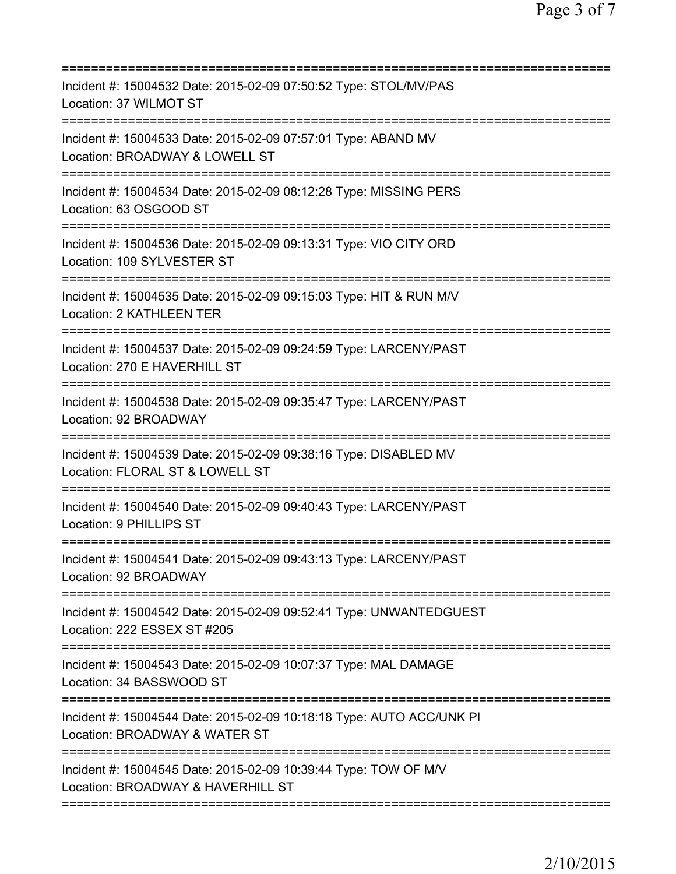| Incident #: 15004532 Date: 2015-02-09 07:50:52 Type: STOL/MV/PAS<br>Location: 37 WILMOT ST                                               |
|------------------------------------------------------------------------------------------------------------------------------------------|
| Incident #: 15004533 Date: 2015-02-09 07:57:01 Type: ABAND MV<br>Location: BROADWAY & LOWELL ST                                          |
| Incident #: 15004534 Date: 2015-02-09 08:12:28 Type: MISSING PERS<br>Location: 63 OSGOOD ST                                              |
| Incident #: 15004536 Date: 2015-02-09 09:13:31 Type: VIO CITY ORD<br>Location: 109 SYLVESTER ST<br>:======================               |
| Incident #: 15004535 Date: 2015-02-09 09:15:03 Type: HIT & RUN M/V<br><b>Location: 2 KATHLEEN TER</b>                                    |
| Incident #: 15004537 Date: 2015-02-09 09:24:59 Type: LARCENY/PAST<br>Location: 270 E HAVERHILL ST                                        |
| Incident #: 15004538 Date: 2015-02-09 09:35:47 Type: LARCENY/PAST<br>Location: 92 BROADWAY                                               |
| Incident #: 15004539 Date: 2015-02-09 09:38:16 Type: DISABLED MV<br>Location: FLORAL ST & LOWELL ST                                      |
| ._____________________<br>Incident #: 15004540 Date: 2015-02-09 09:40:43 Type: LARCENY/PAST<br>Location: 9 PHILLIPS ST                   |
| Incident #: 15004541 Date: 2015-02-09 09:43:13 Type: LARCENY/PAST<br>Location: 92 BROADWAY                                               |
| ===================================<br>Incident #: 15004542 Date: 2015-02-09 09:52:41 Type: UNWANTEDGUEST<br>Location: 222 ESSEX ST #205 |
| Incident #: 15004543 Date: 2015-02-09 10:07:37 Type: MAL DAMAGE<br>Location: 34 BASSWOOD ST                                              |
| Incident #: 15004544 Date: 2015-02-09 10:18:18 Type: AUTO ACC/UNK PI<br>Location: BROADWAY & WATER ST                                    |
| Incident #: 15004545 Date: 2015-02-09 10:39:44 Type: TOW OF M/V<br>Location: BROADWAY & HAVERHILL ST                                     |
|                                                                                                                                          |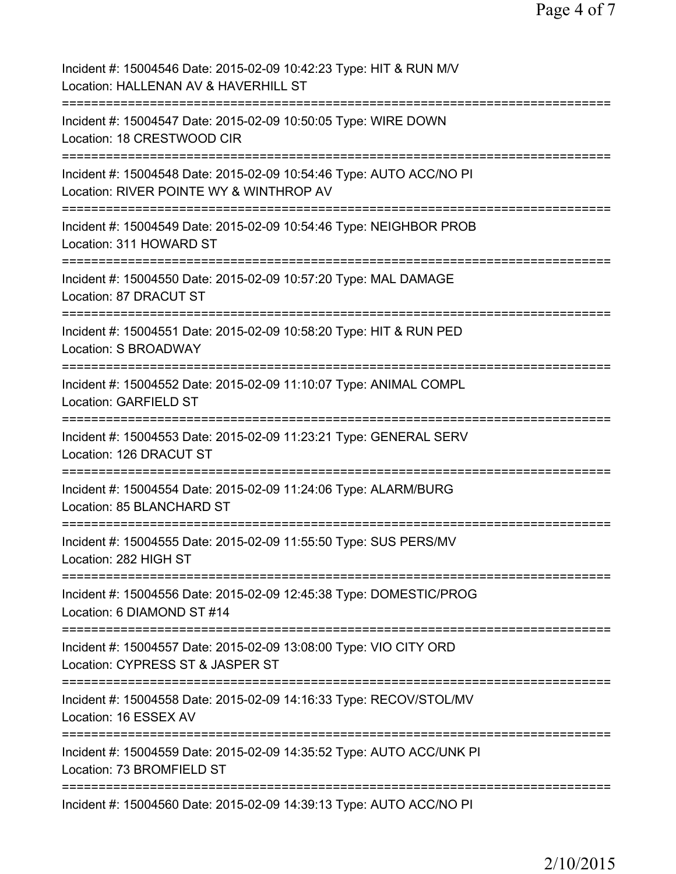| Incident #: 15004546 Date: 2015-02-09 10:42:23 Type: HIT & RUN M/V<br>Location: HALLENAN AV & HAVERHILL ST                     |
|--------------------------------------------------------------------------------------------------------------------------------|
| Incident #: 15004547 Date: 2015-02-09 10:50:05 Type: WIRE DOWN<br>Location: 18 CRESTWOOD CIR                                   |
| Incident #: 15004548 Date: 2015-02-09 10:54:46 Type: AUTO ACC/NO PI<br>Location: RIVER POINTE WY & WINTHROP AV                 |
| Incident #: 15004549 Date: 2015-02-09 10:54:46 Type: NEIGHBOR PROB<br>Location: 311 HOWARD ST                                  |
| Incident #: 15004550 Date: 2015-02-09 10:57:20 Type: MAL DAMAGE<br>Location: 87 DRACUT ST<br>================================  |
| Incident #: 15004551 Date: 2015-02-09 10:58:20 Type: HIT & RUN PED<br>Location: S BROADWAY<br>:=============================== |
| Incident #: 15004552 Date: 2015-02-09 11:10:07 Type: ANIMAL COMPL<br>Location: GARFIELD ST                                     |
| Incident #: 15004553 Date: 2015-02-09 11:23:21 Type: GENERAL SERV<br>Location: 126 DRACUT ST                                   |
| Incident #: 15004554 Date: 2015-02-09 11:24:06 Type: ALARM/BURG<br>Location: 85 BLANCHARD ST                                   |
| Incident #: 15004555 Date: 2015-02-09 11:55:50 Type: SUS PERS/MV<br>Location: 282 HIGH ST                                      |
| Incident #: 15004556 Date: 2015-02-09 12:45:38 Type: DOMESTIC/PROG<br>Location: 6 DIAMOND ST #14                               |
| Incident #: 15004557 Date: 2015-02-09 13:08:00 Type: VIO CITY ORD<br>Location: CYPRESS ST & JASPER ST                          |
| Incident #: 15004558 Date: 2015-02-09 14:16:33 Type: RECOV/STOL/MV<br>Location: 16 ESSEX AV                                    |
| Incident #: 15004559 Date: 2015-02-09 14:35:52 Type: AUTO ACC/UNK PI<br>Location: 73 BROMFIELD ST                              |
| Incident #: 15004560 Date: 2015-02-09 14:39:13 Type: AUTO ACC/NO PI                                                            |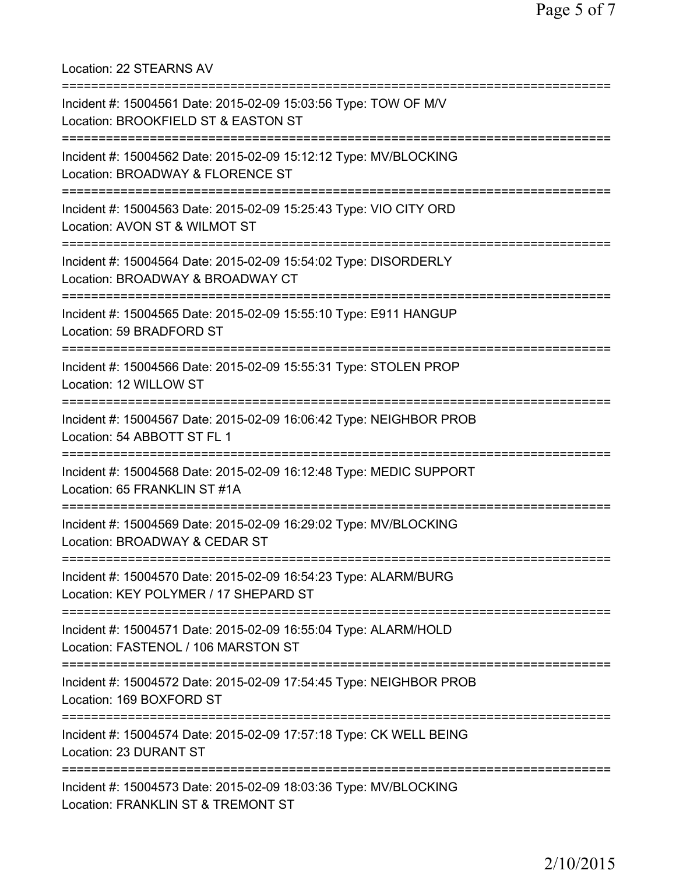Location: 22 STEARNS AV =========================================================================== Incident #: 15004561 Date: 2015-02-09 15:03:56 Type: TOW OF M/V Location: BROOKFIELD ST & EASTON ST =========================================================================== Incident #: 15004562 Date: 2015-02-09 15:12:12 Type: MV/BLOCKING Location: BROADWAY & FLORENCE ST =========================================================================== Incident #: 15004563 Date: 2015-02-09 15:25:43 Type: VIO CITY ORD Location: AVON ST & WILMOT ST =========================================================================== Incident #: 15004564 Date: 2015-02-09 15:54:02 Type: DISORDERLY Location: BROADWAY & BROADWAY CT =========================================================================== Incident #: 15004565 Date: 2015-02-09 15:55:10 Type: E911 HANGUP Location: 59 BRADFORD ST =========================================================================== Incident #: 15004566 Date: 2015-02-09 15:55:31 Type: STOLEN PROP Location: 12 WILLOW ST =========================================================================== Incident #: 15004567 Date: 2015-02-09 16:06:42 Type: NEIGHBOR PROB Location: 54 ABBOTT ST FL 1 =========================================================================== Incident #: 15004568 Date: 2015-02-09 16:12:48 Type: MEDIC SUPPORT Location: 65 FRANKLIN ST #1A =========================================================================== Incident #: 15004569 Date: 2015-02-09 16:29:02 Type: MV/BLOCKING Location: BROADWAY & CEDAR ST =========================================================================== Incident #: 15004570 Date: 2015-02-09 16:54:23 Type: ALARM/BURG Location: KEY POLYMER / 17 SHEPARD ST =========================================================================== Incident #: 15004571 Date: 2015-02-09 16:55:04 Type: ALARM/HOLD Location: FASTENOL / 106 MARSTON ST =========================================================================== Incident #: 15004572 Date: 2015-02-09 17:54:45 Type: NEIGHBOR PROB Location: 169 BOXFORD ST =========================================================================== Incident #: 15004574 Date: 2015-02-09 17:57:18 Type: CK WELL BEING Location: 23 DURANT ST =========================================================================== Incident #: 15004573 Date: 2015-02-09 18:03:36 Type: MV/BLOCKING Location: FRANKLIN ST & TREMONT ST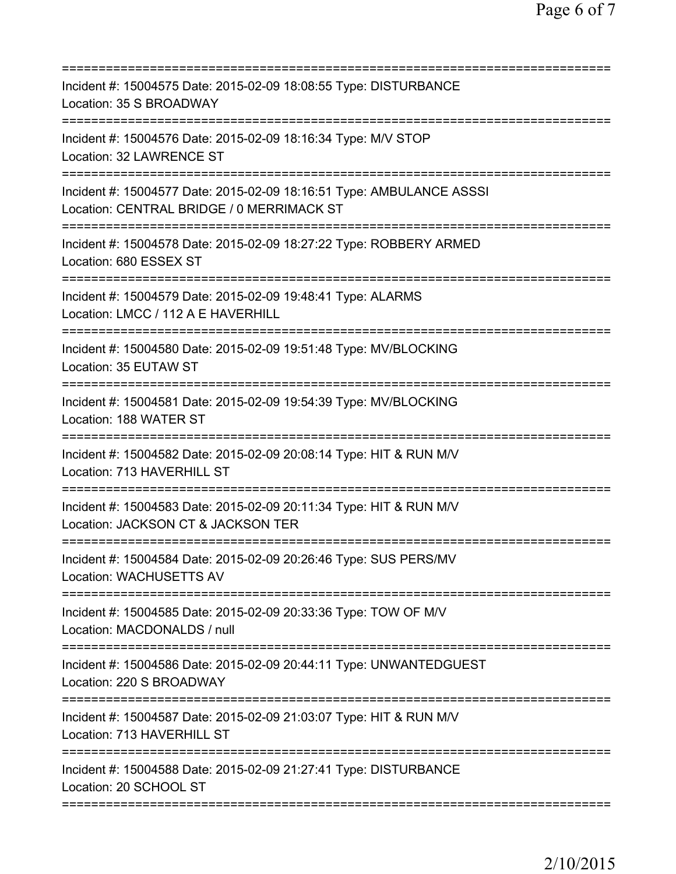| Incident #: 15004575 Date: 2015-02-09 18:08:55 Type: DISTURBANCE<br>Location: 35 S BROADWAY<br>=====================                       |
|--------------------------------------------------------------------------------------------------------------------------------------------|
| Incident #: 15004576 Date: 2015-02-09 18:16:34 Type: M/V STOP<br>Location: 32 LAWRENCE ST                                                  |
| Incident #: 15004577 Date: 2015-02-09 18:16:51 Type: AMBULANCE ASSSI<br>Location: CENTRAL BRIDGE / 0 MERRIMACK ST                          |
| Incident #: 15004578 Date: 2015-02-09 18:27:22 Type: ROBBERY ARMED<br>Location: 680 ESSEX ST                                               |
| Incident #: 15004579 Date: 2015-02-09 19:48:41 Type: ALARMS<br>Location: LMCC / 112 A E HAVERHILL                                          |
| Incident #: 15004580 Date: 2015-02-09 19:51:48 Type: MV/BLOCKING<br>Location: 35 EUTAW ST                                                  |
| Incident #: 15004581 Date: 2015-02-09 19:54:39 Type: MV/BLOCKING<br>Location: 188 WATER ST                                                 |
| Incident #: 15004582 Date: 2015-02-09 20:08:14 Type: HIT & RUN M/V<br>Location: 713 HAVERHILL ST<br>====================================== |
| Incident #: 15004583 Date: 2015-02-09 20:11:34 Type: HIT & RUN M/V<br>Location: JACKSON CT & JACKSON TER                                   |
| Incident #: 15004584 Date: 2015-02-09 20:26:46 Type: SUS PERS/MV<br>Location: WACHUSETTS AV                                                |
| Incident #: 15004585 Date: 2015-02-09 20:33:36 Type: TOW OF M/V<br>Location: MACDONALDS / null                                             |
| Incident #: 15004586 Date: 2015-02-09 20:44:11 Type: UNWANTEDGUEST<br>Location: 220 S BROADWAY                                             |
| Incident #: 15004587 Date: 2015-02-09 21:03:07 Type: HIT & RUN M/V<br>Location: 713 HAVERHILL ST                                           |
| Incident #: 15004588 Date: 2015-02-09 21:27:41 Type: DISTURBANCE<br>Location: 20 SCHOOL ST                                                 |
|                                                                                                                                            |